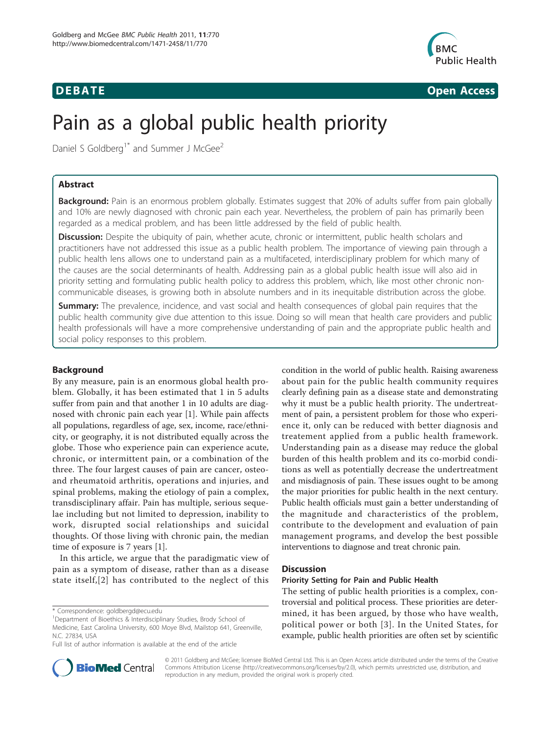

**DEBATE CONSERVATION CONSERVATION** 

# Pain as a global public health priority

Daniel S Goldberg<sup>1\*</sup> and Summer J McGee<sup>2</sup>

# Abstract

Background: Pain is an enormous problem globally. Estimates suggest that 20% of adults suffer from pain globally and 10% are newly diagnosed with chronic pain each year. Nevertheless, the problem of pain has primarily been regarded as a medical problem, and has been little addressed by the field of public health.

Discussion: Despite the ubiquity of pain, whether acute, chronic or intermittent, public health scholars and practitioners have not addressed this issue as a public health problem. The importance of viewing pain through a public health lens allows one to understand pain as a multifaceted, interdisciplinary problem for which many of the causes are the social determinants of health. Addressing pain as a global public health issue will also aid in priority setting and formulating public health policy to address this problem, which, like most other chronic noncommunicable diseases, is growing both in absolute numbers and in its inequitable distribution across the globe.

**Summary:** The prevalence, incidence, and vast social and health consequences of global pain requires that the public health community give due attention to this issue. Doing so will mean that health care providers and public health professionals will have a more comprehensive understanding of pain and the appropriate public health and social policy responses to this problem.

# Background

By any measure, pain is an enormous global health problem. Globally, it has been estimated that 1 in 5 adults suffer from pain and that another 1 in 10 adults are diagnosed with chronic pain each year [\[1](#page-3-0)]. While pain affects all populations, regardless of age, sex, income, race/ethnicity, or geography, it is not distributed equally across the globe. Those who experience pain can experience acute, chronic, or intermittent pain, or a combination of the three. The four largest causes of pain are cancer, osteoand rheumatoid arthritis, operations and injuries, and spinal problems, making the etiology of pain a complex, transdisciplinary affair. Pain has multiple, serious sequelae including but not limited to depression, inability to work, disrupted social relationships and suicidal thoughts. Of those living with chronic pain, the median time of exposure is 7 years [[1\]](#page-3-0).

In this article, we argue that the paradigmatic view of pain as a symptom of disease, rather than as a disease state itself,[[2](#page-3-0)] has contributed to the neglect of this

\* Correspondence: [goldbergd@ecu.edu](mailto:goldbergd@ecu.edu)

Full list of author information is available at the end of the article

condition in the world of public health. Raising awareness about pain for the public health community requires clearly defining pain as a disease state and demonstrating why it must be a public health priority. The undertreatment of pain, a persistent problem for those who experience it, only can be reduced with better diagnosis and treatement applied from a public health framework. Understanding pain as a disease may reduce the global burden of this health problem and its co-morbid conditions as well as potentially decrease the undertreatment and misdiagnosis of pain. These issues ought to be among the major priorities for public health in the next century. Public health officials must gain a better understanding of the magnitude and characteristics of the problem, contribute to the development and evaluation of pain management programs, and develop the best possible interventions to diagnose and treat chronic pain.

# **Discussion**

# Priority Setting for Pain and Public Health

The setting of public health priorities is a complex, controversial and political process. These priorities are determined, it has been argued, by those who have wealth, political power or both [[3](#page-3-0)]. In the United States, for example, public health priorities are often set by scientific



© 2011 Goldberg and McGee; licensee BioMed Central Ltd. This is an Open Access article distributed under the terms of the Creative Commons Attribution License [\(http://creativecommons.org/licenses/by/2.0](http://creativecommons.org/licenses/by/2.0)), which permits unrestricted use, distribution, and reproduction in any medium, provided the original work is properly cited.

<sup>&</sup>lt;sup>1</sup>Department of Bioethics & Interdisciplinary Studies, Brody School of Medicine, East Carolina University, 600 Moye Blvd, Mailstop 641, Greenville, N.C. 27834, USA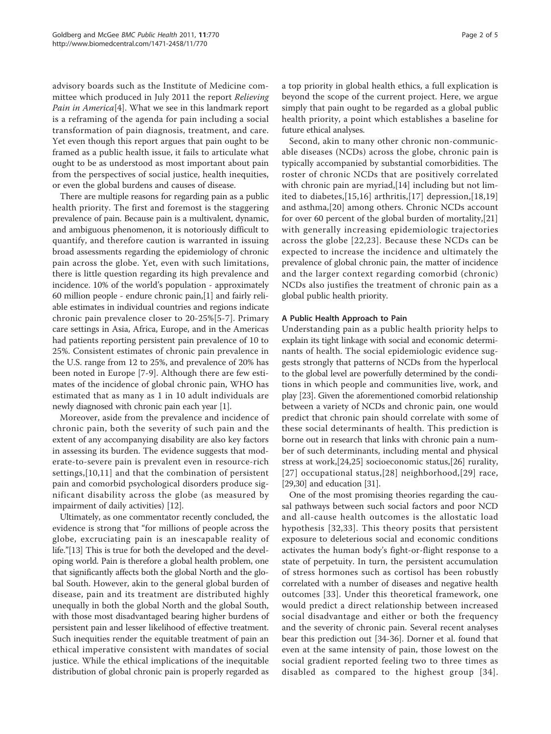advisory boards such as the Institute of Medicine committee which produced in July 2011 the report Relieving Pain in America<sup>[[4\]](#page-3-0)</sup>. What we see in this landmark report is a reframing of the agenda for pain including a social transformation of pain diagnosis, treatment, and care. Yet even though this report argues that pain ought to be framed as a public health issue, it fails to articulate what ought to be as understood as most important about pain from the perspectives of social justice, health inequities, or even the global burdens and causes of disease.

There are multiple reasons for regarding pain as a public health priority. The first and foremost is the staggering prevalence of pain. Because pain is a multivalent, dynamic, and ambiguous phenomenon, it is notoriously difficult to quantify, and therefore caution is warranted in issuing broad assessments regarding the epidemiology of chronic pain across the globe. Yet, even with such limitations, there is little question regarding its high prevalence and incidence. 10% of the world's population - approximately 60 million people - endure chronic pain,[[1\]](#page-3-0) and fairly reliable estimates in individual countries and regions indicate chronic pain prevalence closer to 20-25%[[5-7\]](#page-3-0). Primary care settings in Asia, Africa, Europe, and in the Americas had patients reporting persistent pain prevalence of 10 to 25%. Consistent estimates of chronic pain prevalence in the U.S. range from 12 to 25%, and prevalence of 20% has been noted in Europe [\[7](#page-3-0)-[9\]](#page-3-0). Although there are few estimates of the incidence of global chronic pain, WHO has estimated that as many as 1 in 10 adult individuals are newly diagnosed with chronic pain each year [\[1](#page-3-0)].

Moreover, aside from the prevalence and incidence of chronic pain, both the severity of such pain and the extent of any accompanying disability are also key factors in assessing its burden. The evidence suggests that moderate-to-severe pain is prevalent even in resource-rich settings,[\[10,11](#page-3-0)] and that the combination of persistent pain and comorbid psychological disorders produce significant disability across the globe (as measured by impairment of daily activities) [[12](#page-3-0)].

Ultimately, as one commentator recently concluded, the evidence is strong that "for millions of people across the globe, excruciating pain is an inescapable reality of life."[\[13\]](#page-3-0) This is true for both the developed and the developing world. Pain is therefore a global health problem, one that significantly affects both the global North and the global South. However, akin to the general global burden of disease, pain and its treatment are distributed highly unequally in both the global North and the global South, with those most disadvantaged bearing higher burdens of persistent pain and lesser likelihood of effective treatment. Such inequities render the equitable treatment of pain an ethical imperative consistent with mandates of social justice. While the ethical implications of the inequitable distribution of global chronic pain is properly regarded as a top priority in global health ethics, a full explication is beyond the scope of the current project. Here, we argue simply that pain ought to be regarded as a global public health priority, a point which establishes a baseline for future ethical analyses.

Second, akin to many other chronic non-communicable diseases (NCDs) across the globe, chronic pain is typically accompanied by substantial comorbidities. The roster of chronic NCDs that are positively correlated with chronic pain are myriad,[\[14](#page-3-0)] including but not limited to diabetes,[[15,16\]](#page-3-0) arthritis,[[17](#page-3-0)] depression,[[18,19](#page-3-0)] and asthma,[\[20](#page-3-0)] among others. Chronic NCDs account for over 60 percent of the global burden of mortality,[[21](#page-3-0)] with generally increasing epidemiologic trajectories across the globe [[22,23\]](#page-3-0). Because these NCDs can be expected to increase the incidence and ultimately the prevalence of global chronic pain, the matter of incidence and the larger context regarding comorbid (chronic) NCDs also justifies the treatment of chronic pain as a global public health priority.

# A Public Health Approach to Pain

Understanding pain as a public health priority helps to explain its tight linkage with social and economic determinants of health. The social epidemiologic evidence suggests strongly that patterns of NCDs from the hyperlocal to the global level are powerfully determined by the conditions in which people and communities live, work, and play [[23](#page-3-0)]. Given the aforementioned comorbid relationship between a variety of NCDs and chronic pain, one would predict that chronic pain should correlate with some of these social determinants of health. This prediction is borne out in research that links with chronic pain a number of such determinants, including mental and physical stress at work,[[24,25\]](#page-3-0) socioeconomic status,[[26\]](#page-3-0) rurality, [[27\]](#page-3-0) occupational status,[[28](#page-3-0)] neighborhood,[[29](#page-3-0)] race, [[29,30\]](#page-3-0) and education [[31](#page-3-0)].

One of the most promising theories regarding the causal pathways between such social factors and poor NCD and all-cause health outcomes is the allostatic load hypothesis [[32,33\]](#page-3-0). This theory posits that persistent exposure to deleterious social and economic conditions activates the human body's fight-or-flight response to a state of perpetuity. In turn, the persistent accumulation of stress hormones such as cortisol has been robustly correlated with a number of diseases and negative health outcomes [[33](#page-3-0)]. Under this theoretical framework, one would predict a direct relationship between increased social disadvantage and either or both the frequency and the severity of chronic pain. Several recent analyses bear this prediction out [\[34-36](#page-3-0)]. Dorner et al. found that even at the same intensity of pain, those lowest on the social gradient reported feeling two to three times as disabled as compared to the highest group [[34\]](#page-3-0).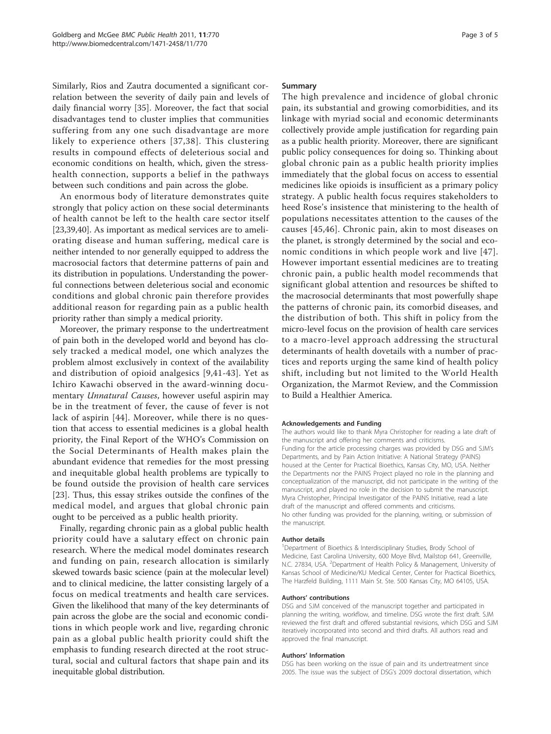Similarly, Rios and Zautra documented a significant correlation between the severity of daily pain and levels of daily financial worry [\[35](#page-3-0)]. Moreover, the fact that social disadvantages tend to cluster implies that communities suffering from any one such disadvantage are more likely to experience others [[37](#page-3-0),[38\]](#page-3-0). This clustering results in compound effects of deleterious social and economic conditions on health, which, given the stresshealth connection, supports a belief in the pathways between such conditions and pain across the globe.

An enormous body of literature demonstrates quite strongly that policy action on these social determinants of health cannot be left to the health care sector itself [[23,39,40\]](#page-3-0). As important as medical services are to ameliorating disease and human suffering, medical care is neither intended to nor generally equipped to address the macrosocial factors that determine patterns of pain and its distribution in populations. Understanding the powerful connections between deleterious social and economic conditions and global chronic pain therefore provides additional reason for regarding pain as a public health priority rather than simply a medical priority.

Moreover, the primary response to the undertreatment of pain both in the developed world and beyond has closely tracked a medical model, one which analyzes the problem almost exclusively in context of the availability and distribution of opioid analgesics [[9,41-](#page-3-0)[43\]](#page-4-0). Yet as Ichiro Kawachi observed in the award-winning documentary *Unnatural Causes*, however useful aspirin may be in the treatment of fever, the cause of fever is not lack of aspirin [[44\]](#page-4-0). Moreover, while there is no question that access to essential medicines is a global health priority, the Final Report of the WHO's Commission on the Social Determinants of Health makes plain the abundant evidence that remedies for the most pressing and inequitable global health problems are typically to be found outside the provision of health care services [[23\]](#page-3-0). Thus, this essay strikes outside the confines of the medical model, and argues that global chronic pain ought to be perceived as a public health priority.

Finally, regarding chronic pain as a global public health priority could have a salutary effect on chronic pain research. Where the medical model dominates research and funding on pain, research allocation is similarly skewed towards basic science (pain at the molecular level) and to clinical medicine, the latter consisting largely of a focus on medical treatments and health care services. Given the likelihood that many of the key determinants of pain across the globe are the social and economic conditions in which people work and live, regarding chronic pain as a global public health priority could shift the emphasis to funding research directed at the root structural, social and cultural factors that shape pain and its inequitable global distribution.

## Summary

The high prevalence and incidence of global chronic pain, its substantial and growing comorbidities, and its linkage with myriad social and economic determinants collectively provide ample justification for regarding pain as a public health priority. Moreover, there are significant public policy consequences for doing so. Thinking about global chronic pain as a public health priority implies immediately that the global focus on access to essential medicines like opioids is insufficient as a primary policy strategy. A public health focus requires stakeholders to heed Rose's insistence that ministering to the health of populations necessitates attention to the causes of the causes [[45](#page-4-0),[46\]](#page-4-0). Chronic pain, akin to most diseases on the planet, is strongly determined by the social and economic conditions in which people work and live [\[47\]](#page-4-0). However important essential medicines are to treating chronic pain, a public health model recommends that significant global attention and resources be shifted to the macrosocial determinants that most powerfully shape the patterns of chronic pain, its comorbid diseases, and the distribution of both. This shift in policy from the micro-level focus on the provision of health care services to a macro-level approach addressing the structural determinants of health dovetails with a number of practices and reports urging the same kind of health policy shift, including but not limited to the World Health Organization, the Marmot Review, and the Commission to Build a Healthier America.

#### Acknowledgements and Funding

The authors would like to thank Myra Christopher for reading a late draft of the manuscript and offering her comments and criticisms. Funding for the article processing charges was provided by DSG and SJM's Departments, and by Pain Action Initiative: A National Strategy (PAINS) housed at the Center for Practical Bioethics, Kansas City, MO, USA. Neither the Departments nor the PAINS Project played no role in the planning and conceptualization of the manuscript, did not participate in the writing of the manuscript, and played no role in the decision to submit the manuscript. Myra Christopher, Principal Investigator of the PAINS Initiative, read a late draft of the manuscript and offered comments and criticisms. No other funding was provided for the planning, writing, or submission of the manuscript.

### Author details

<sup>1</sup>Department of Bioethics & Interdisciplinary Studies, Brody School of Medicine, East Carolina University, 600 Moye Blvd, Mailstop 641, Greenville, N.C. 27834, USA. <sup>2</sup>Department of Health Policy & Management, University of Kansas School of Medicine/KU Medical Center, Center for Practical Bioethics, The Harzfeld Building, 1111 Main St. Ste. 500 Kansas City, MO 64105, USA.

#### Authors' contributions

DSG and SJM conceived of the manuscript together and participated in planning the writing, workflow, and timeline. DSG wrote the first draft. SJM reviewed the first draft and offered substantial revisions, which DSG and SJM iteratively incorporated into second and third drafts. All authors read and approved the final manuscript.

#### Authors' Information

DSG has been working on the issue of pain and its undertreatment since 2005. The issue was the subject of DSG's 2009 doctoral dissertation, which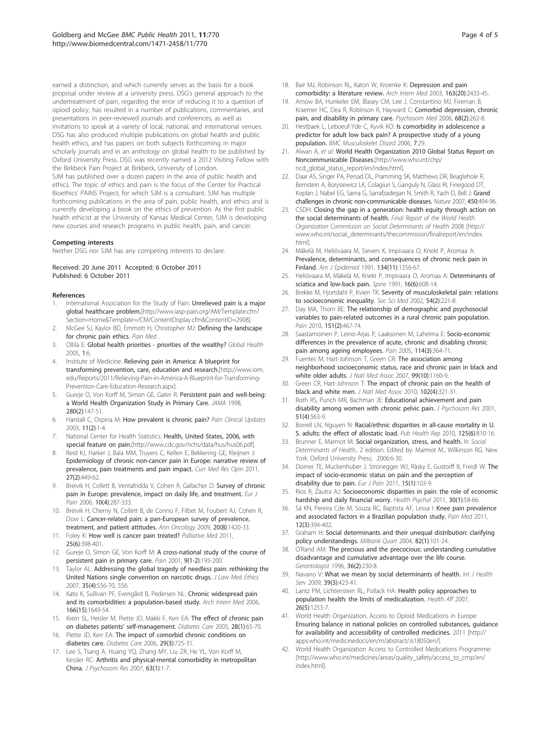<span id="page-3-0"></span>earned a distinction, and which currently serves as the basis for a book proposal under review at a university press. DSG's general approach to the undertreatment of pain, regarding the error of reducing it to a question of opioid policy, has resulted in a number of publications, commentaries, and presentations in peer-reviewed journals and conferences, as well as invitations to speak at a variety of local, national, and international venues. DSG has also produced multiple publications on global health and public health ethics, and has papers on both subjects forthcoming in major scholarly journals and in an anthology on global health to be published by Oxford University Press. DSG was recently named a 2012 Visiting Fellow with the Birkbeck Pain Project at Birkbeck, University of London. SJM has published over a dozen papers in the area of public health and ethics. The topic of ethics and pain is the focus of the Center for Practical Bioethics' PAINS Project, for which SJM is a consultant. SJM has multiple forthcoming publications in the area of pain, public health, and ethics and is currently developing a book on the ethics of prevention. As the first public health ethicist at the University of Kansas Medical Center, SJM is developing new courses and research programs in public health, pain, and cancer.

#### Competing interests

Neither DSG nor SJM has any competing interests to declare.

Received: 20 June 2011 Accepted: 6 October 2011 Published: 6 October 2011

#### References

- 1. International Association for the Study of Pain: Unrelieved pain is a major global healthcare problem.[\[http://www.iasp-pain.org/AM/Template.cfm?](http://www.iasp-pain.org/AM/Template.cfm?Section=Home&Template=/CM/ContentDisplay.cfm&ContentID=2908) [Section=Home&Template=/CM/ContentDisplay.cfm&ContentID=2908\]](http://www.iasp-pain.org/AM/Template.cfm?Section=Home&Template=/CM/ContentDisplay.cfm&ContentID=2908).
- 2. McGee SJ, Kaylor BD, Emmott H, Christopher MJ: Defining the landscape for chronic pain ethics. Pain Med .
- 3. Ollila E: Global health priorities priorities of the wealthy? Global Health 2005, 1:6.
- 4. Institute of Medicine: Relieving pain in America: A blueprint for transforming prevention, care, education and research.[[http://www.iom.](http://www.iom.edu/Reports/2011/Relieving-Pain-in-America-A-Blueprint-for-Transforming-Prevention-Care-Education-Research.aspx) [edu/Reports/2011/Relieving-Pain-in-America-A-Blueprint-for-Transforming-](http://www.iom.edu/Reports/2011/Relieving-Pain-in-America-A-Blueprint-for-Transforming-Prevention-Care-Education-Research.aspx)[Prevention-Care-Education-Research.aspx](http://www.iom.edu/Reports/2011/Relieving-Pain-in-America-A-Blueprint-for-Transforming-Prevention-Care-Education-Research.aspx)].
- 5. Gureje O, Von Korff M, Simon GE, Gater R: Persistent pain and well-being: a World Health Organization Study in Primary Care. JAMA 1998, 280(2):147-51.
- 6. Harstall C, Ospina M: How prevalent is chronic pain? Pain Clinical Updates 2003, 11(2):1-4.
- 7. National Center for Health Statistics: Health, United States, 2006, with special feature on pain.[<http://www.cdc.gov/nchs/data/hus/hus06.pdf>].
- 8. Reid KJ, Harker J, Bala MM, Truyers C, Kellen E, Bekkering GE, Kleijnen J: Epidemiology of chronic non-cancer pain in Europe: narrative review of prevalence, pain treatments and pain impact. Curr Med Res Opin 2011, 27(2):449-62.
- 9. Breivik H, Collett B, Ventafridda V, Cohen R, Gallacher D: Survey of chronic pain in Europe: prevalence, impact on daily life, and treatment. Eur J Pain 2006, 10(4):287-333.
- 10. Breivik H, Cherny N, Collett B, de Conno F, Filbet M, Foubert AJ, Cohen R, Dow L: Cancer-related pain: a pan-European survey of prevalence, treatment, and patient attitudes. Ann Oncology 2009, 20(8):1420-33.
- 11. Foley K: How well is cancer pain treated? Palliative Med 2011, 25(6):398-401.
- 12. Gureje O, Simon GE, Von Korff M: A cross-national study of the course of persistent pain in primary care. Pain 2001, 9(1-2):195-200.
- 13. Taylor AL: Addressing the global tragedy of needless pain: rethinking the United Nations single convention on narcotic drugs. J Law Med Ethics 2007, 35(4):556-70, 556.
- 14. Kato K, Sullivan PF, Evengård B, Pedersen NL: Chronic widespread pain and its comorbidities: a population-based study. Arch Intern Med 2006, 166(15):1649-54.
- 15. Krein SL, Heisler M, Piette JD, Makki F, Kerr EA: The effect of chronic pain on diabetes patients' self-management. Diabetes Care 2005, 28(1):65-70.
- 16. Piette JD, Kerr EA: The impact of comorbid chronic conditions on diabetes care. Diabetes Care 2006, 29(3):725-31.
- 17. Lee S, Tsang A, Huang YQ, Zhang MY, Liu ZR, He YL, Von Korff M, Kessler RC: Arthritis and physical-mental comorbidity in metropolitan China. J Psychosom Res 2007, 63(1):1-7.
- 18. Bair MJ, Robinson RL, Katon W, Kroenke K: Depression and pain comorbidity: a literature review. Arch Intern Med 2003, 163(20):2433-45.
- 19. Arnow BA, Hunkeler EM, Blasey CM, Lee J, Constantino MJ, Fireman B, Kraemer HC, Dea R, Robinson R, Hayward C: Comorbid depression, chronic pain, and disability in primary care. Psychosom Med 2006, 68(2):262-8.
- 20. Hestbaek L, Leboeuf-Yde C, Kyvik KO: Is comorbidity in adolescence a predictor for adult low back pain? A prospective study of a young population. BMC Musculoskelet Disord 2006, 7:29.
- 21. Alwan A, et al: World Health Organization 2010 Global Status Report on Noncommunicable Diseases.[[http://www.who.int/chp/](http://www.who.int/chp/ncd_global_status_report/en/index.html) [ncd\\_global\\_status\\_report/en/index.html](http://www.who.int/chp/ncd_global_status_report/en/index.html)].
- 22. Daar AS, Singer PA, Persad DL, Pramming SK, Matthews DR, Beaglehole R, Bernstein A, Borysiewicz LK, Colagiuri S, Ganguly N, Glass RI, Finegood DT, Koplan J, Nabel EG, Sarna G, Sarrafzadegan N, Smith R, Yach D, Bell J: Grand challenges in chronic non-communicable diseases. Nature 2007, 450:494-96.
- 23. CSDH: Closing the gap in a generation: health equity through action on the social determinants of health. Final Report of the World Health Organization Commission on Social Determinants of Health 2008 [[http://](http://www.who.int/social_determinants/thecommission/finalreport/en/index.html) [www.who.int/social\\_determinants/thecommission/finalreport/en/index.](http://www.who.int/social_determinants/thecommission/finalreport/en/index.html) [html\]](http://www.who.int/social_determinants/thecommission/finalreport/en/index.html).
- 24. Mäkelä M, Heliövaara M, Sievers K, Impivaara O, Knekt P, Aromaa A: Prevalence, determinants, and consequences of chronic neck pain in Finland. Am J Epidemiol 1991, 134(11):1356-67.
- 25. Heliövaara M, Mäkelä M, Knekt P, Impivaara O, Aromaa A: Determinants of sciatica and low-back pain. Spine 1991, 16(6):608-14.
- 26. Brekke M, Hjortdahl P, Kvien TK: Severity of musculoskeletal pain: relations to socioeconomic inequality. Soc Sci Med 2002, 54(2):221-8.
- 27. Day MA, Thorn BE: The relationship of demographic and psychosocial variables to pain-related outcomes in a rural chronic pain population. Pain 2010, 151(2):467-74.
- 28. Saastamoinen P, Leino-Arjas P, Laaksonen M, Lahelma E: Socio-economic differences in the prevalence of acute, chronic and disabling chronic pain among ageing employees. Pain 2005, 114(3):364-71.
- 29. Fuentes M, Hart-Johnson T, Green CR: The association among neighborhood socioeconomic status, race and chronic pain in black and white older adults. J Natl Med Assoc 2007, 99(10):1160-9.
- 30. Green CR, Hart-Johnson T: The impact of chronic pain on the health of black and white men. J Natl Med Assoc 2010, 102(4):321-31.
- 31. Roth RS, Punch MR, Bachman JE: Educational achievement and pain disability among women with chronic pelvic pain. J Psychosom Res 2001, 51(4):563-9.
- 32. Borrell LN, Nguyen N: Racial/ethnic disparities in all-cause mortality in U. S. adults: the effect of allostatic load. Pub Health Rep 2010, 125(6):810-16.
- 33. Brunner E, Marmot M: Social organization, stress, and health. In Social Determinants of Health.. 2 edition. Edited by: Marmot M., Wilkinson RG. New York: Oxford University Press; 2006:6-30.
- 34. Dorner TE, Muckenhuber J, Stronegger WJ, Ràsky E, Gustorff B, Freidl W: The impact of socio-economic status on pain and the perception of disability due to pain. Eur J Pain 2011, 15(1):103-9.
- 35. Rios R, Zautra AJ: Socioeconomic disparities in pain: the role of economic hardship and daily financial worry. Health Psychol 2011, 30(1):58-66.
- 36. Sá KN, Pereira Cde M, Souza RC, Baptista AF, Lessa I: Knee pain prevalence and associated factors in a Brazilian population study. Pain Med 2011, 12(3):394-402.
- 37. Graham H: Social determinants and their unequal distribution: clarifying policy understandings. Milbank Quart 2004, 82(1):101-24.
- 38. O'Rand AM: The precious and the precocious: understanding cumulative disadvantage and cumulative advantage over the life course. Gerontologist 1996, 36(2):230-8.
- 39. Navarro V: What we mean by social determinants of health. Int J Health Serv 2009, 39(3):423-41.
- 40. Lantz PM, Lichtenstein RL, Pollack HA: Health policy approaches to population health: the limits of medicalization. Health Aff 2007, 26(5):1253-7.
- 41. World Health Organization, Access to Opioid Medications in Europe: Ensuring balance in national policies on controlled substances, guidance for availability and accessibility of controlled medicines. 2011 [[http://](http://apps.who.int/medicinedocs/en/m/abstract/Js18050en/) [apps.who.int/medicinedocs/en/m/abstract/Js18050en/](http://apps.who.int/medicinedocs/en/m/abstract/Js18050en/)].
- 42. World Health Organization Access to Controlled Medications Programme: [[http://www.who.int/medicines/areas/quality\\_safety/access\\_to\\_cmp/en/](http://www.who.int/medicines/areas/quality_safety/access_to_cmp/en/index.html) [index.html\]](http://www.who.int/medicines/areas/quality_safety/access_to_cmp/en/index.html).